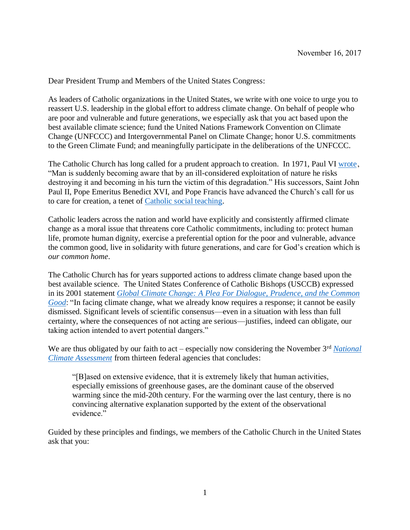Dear President Trump and Members of the United States Congress:

As leaders of Catholic organizations in the United States, we write with one voice to urge you to reassert U.S. leadership in the global effort to address climate change. On behalf of people who are poor and vulnerable and future generations, we especially ask that you act based upon the best available climate science; fund the United Nations Framework Convention on Climate Change (UNFCCC) and Intergovernmental Panel on Climate Change; honor U.S. commitments to the Green Climate Fund; and meaningfully participate in the deliberations of the UNFCCC.

The Catholic Church has long called for a prudent approach to creation. In 1971, Paul VI wrote, "Man is suddenly becoming aware that by an ill-considered exploitation of nature he risks destroying it and becoming in his turn the victim of this degradation." His successors, Saint John Paul II, Pope Emeritus Benedict XVI, and Pope Francis have advanced the Church's call for us to care for creation, a tenet of [Catholic social teaching.](http://www.usccb.org/beliefs-and-teachings/what-we-believe/catholic-social-teaching/seven-themes-of-catholic-social-teaching.cfm)

Catholic leaders across the nation and world have explicitly and consistently affirmed climate change as a moral issue that threatens core Catholic commitments, including to: protect human life, promote human dignity, exercise a preferential option for the poor and vulnerable, advance the common good, live in solidarity with future generations, and care for God's creation which is *our common home*.

The Catholic Church has for years supported actions to address climate change based upon the best available science. The United States Conference of Catholic Bishops (USCCB) expressed in its 2001 statement *[Global Climate Change: A Plea For Dialogue,](http://www.usccb.org/issues-and-action/human-life-and-dignity/environment/global-climate-change-a-plea-for-dialogue-prudence-and-the-common-good.cfm) Prudence, and the Common [Good](http://www.usccb.org/issues-and-action/human-life-and-dignity/environment/global-climate-change-a-plea-for-dialogue-prudence-and-the-common-good.cfm)*: "In facing climate change, what we already know requires a response; it cannot be easily dismissed. Significant levels of scientific consensus—even in a situation with less than full certainty, where the consequences of not acting are serious—justifies, indeed can obligate, our taking action intended to avert potential dangers."

We are thus obligated by our faith to act – especially now considering the November 3<sup>rd</sup> National *[Climate Assessment](https://science2017.globalchange.gov/chapter/executive-summary/)* from thirteen federal agencies that concludes:

"[B]ased on extensive evidence, that it is extremely likely that human activities, especially emissions of greenhouse gases, are the dominant cause of the observed warming since the mid-20th century. For the warming over the last century, there is no convincing alternative explanation supported by the extent of the observational evidence"

Guided by these principles and findings, we members of the Catholic Church in the United States ask that you: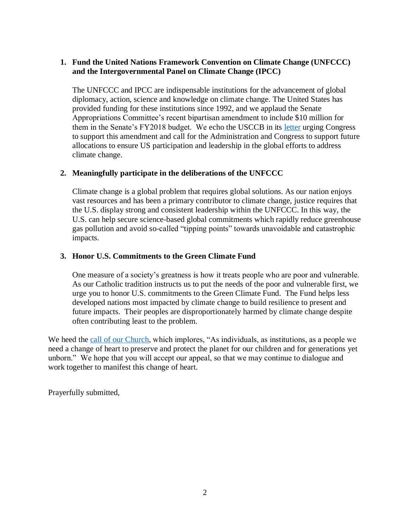## **1. Fund the United Nations Framework Convention on Climate Change (UNFCCC) and the Intergovernmental Panel on Climate Change (IPCC)**

The UNFCCC and IPCC are indispensable institutions for the advancement of global diplomacy, action, science and knowledge on climate change. The United States has provided funding for these institutions since 1992, and we applaud the Senate Appropriations Committee's recent bipartisan amendment to include \$10 million for them in the Senate's FY2018 budget. We echo the USCCB in its [letter](http://www.usccb.org/news/2017/17-217.cfm) urging Congress to support this amendment and call for the Administration and Congress to support future allocations to ensure US participation and leadership in the global efforts to address climate change.

## **2. Meaningfully participate in the deliberations of the UNFCCC**

Climate change is a global problem that requires global solutions. As our nation enjoys vast resources and has been a primary contributor to climate change, justice requires that the U.S. display strong and consistent leadership within the UNFCCC. In this way, the U.S. can help secure science-based global commitments which rapidly reduce greenhouse gas pollution and avoid so-called "tipping points" towards unavoidable and catastrophic impacts.

## **3. Honor U.S. Commitments to the Green Climate Fund**

One measure of a society's greatness is how it treats people who are poor and vulnerable. As our Catholic tradition instructs us to put the needs of the poor and vulnerable first, we urge you to honor U.S. commitments to the Green Climate Fund. The Fund helps less developed nations most impacted by climate change to build resilience to present and future impacts. Their peoples are disproportionately harmed by climate change despite often contributing least to the problem.

We heed the [call of our Church,](http://www.usccb.org/issues-and-action/human-life-and-dignity/environment/renewing-the-earth.cfm) which implores, "As individuals, as institutions, as a people we need a change of heart to preserve and protect the planet for our children and for generations yet unborn." We hope that you will accept our appeal, so that we may continue to dialogue and work together to manifest this change of heart.

Prayerfully submitted,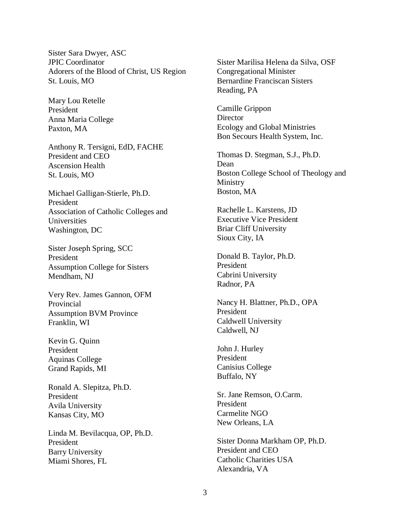Sister Sara Dwyer, ASC JPIC Coordinator Adorers of the Blood of Christ, US Region St. Louis, MO

Mary Lou Retelle President Anna Maria College Paxton, MA

Anthony R. Tersigni, EdD, FACHE President and CEO Ascension Health St. Louis, MO

Michael Galligan-Stierle, Ph.D. President Association of Catholic Colleges and Universities Washington, DC

Sister Joseph Spring, SCC President Assumption College for Sisters Mendham, NJ

Very Rev. James Gannon, OFM Provincial Assumption BVM Province Franklin, WI

Kevin G. Quinn President Aquinas College Grand Rapids, MI

Ronald A. Slepitza, Ph.D. President Avila University Kansas City, MO

Linda M. Bevilacqua, OP, Ph.D. President Barry University Miami Shores, FL

Sister Marilisa Helena da Silva, OSF Congregational Minister Bernardine Franciscan Sisters Reading, PA

Camille Grippon **Director** Ecology and Global Ministries Bon Secours Health System, Inc.

Thomas D. Stegman, S.J., Ph.D. Dean Boston College School of Theology and Ministry Boston, MA

Rachelle L. Karstens, JD Executive Vice President Briar Cliff University Sioux City, IA

Donald B. Taylor, Ph.D. President Cabrini University Radnor, PA

Nancy H. Blattner, Ph.D., OPA President Caldwell University Caldwell, NJ

John J. Hurley President Canisius College Buffalo, NY

Sr. Jane Remson, O.Carm. President Carmelite NGO New Orleans, LA

Sister Donna Markham OP, Ph.D. President and CEO Catholic Charities USA Alexandria, VA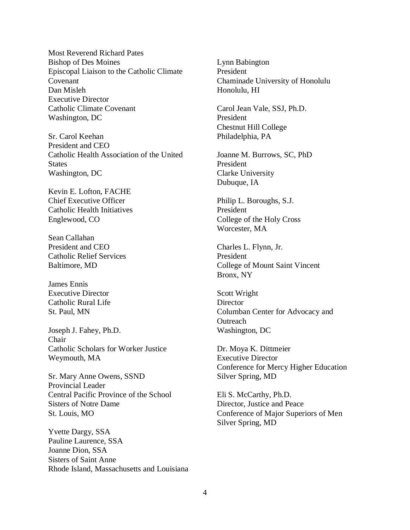Most Reverend Richard Pates Bishop of Des Moines Episcopal Liaison to the Catholic Climate Covenant Dan Misleh Executive Director Catholic Climate Covenant Washington, DC

Sr. Carol Keehan President and CEO Catholic Health Association of the United **States** Washington, DC

Kevin E. Lofton, FACHE Chief Executive Officer Catholic Health Initiatives Englewood, CO

Sean Callahan President and CEO Catholic Relief Services Baltimore, MD

James Ennis Executive Director Catholic Rural Life St. Paul, MN

Joseph J. Fahey, Ph.D. Chair Catholic Scholars for Worker Justice Weymouth, MA

Sr. Mary Anne Owens, SSND Provincial Leader Central Pacific Province of the School Sisters of Notre Dame St. Louis, MO

Yvette Dargy, SSA Pauline Laurence, SSA Joanne Dion, SSA Sisters of Saint Anne Rhode Island, Massachusetts and Louisiana

Lynn Babington President Chaminade University of Honolulu Honolulu, HI

Carol Jean Vale, SSJ, Ph.D. President Chestnut Hill College Philadelphia, PA

Joanne M. Burrows, SC, PhD President Clarke University Dubuque, IA

Philip L. Boroughs, S.J. President College of the Holy Cross Worcester, MA

Charles L. Flynn, Jr. President College of Mount Saint Vincent Bronx, NY

Scott Wright **Director** Columban Center for Advocacy and **Outreach** Washington, DC

Dr. Moya K. Dittmeier Executive Director Conference for Mercy Higher Education Silver Spring, MD

Eli S. McCarthy, Ph.D. Director, Justice and Peace Conference of Major Superiors of Men Silver Spring, MD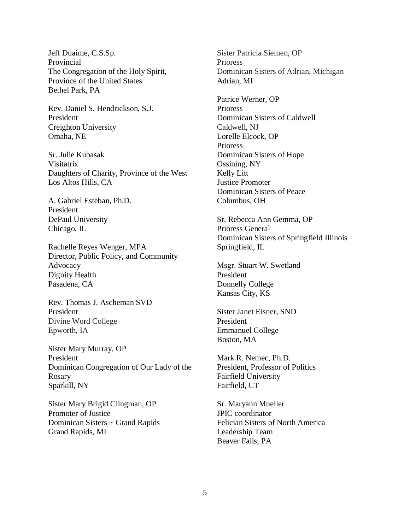Jeff Duaime, C.S.Sp. Provincial The Congregation of the Holy Spirit, Province of the United States Bethel Park, PA

Rev. Daniel S. Hendrickson, S.J. President Creighton University Omaha, NE

Sr. Julie Kubasak Visitatrix Daughters of Charity, Province of the West Los Altos Hills, CA

A. Gabriel Esteban, Ph.D. President DePaul University Chicago, IL

Rachelle Reyes Wenger, MPA Director, Public Policy, and Community Advocacy Dignity Health Pasadena, CA

Rev. Thomas J. Ascheman SVD President Divine Word College Epworth, IA

Sister Mary Murray, OP President Dominican Congregation of Our Lady of the Rosary Sparkill, NY

Sister Mary Brigid Clingman, OP Promoter of Justice Dominican Sisters ~ Grand Rapids Grand Rapids, MI

Sister Patricia Siemen, OP Prioress Dominican Sisters of Adrian, Michigan Adrian, MI

Patrice Werner, OP Prioress Dominican Sisters of Caldwell Caldwell, NJ Lorelle Elcock, OP Prioress Dominican Sisters of Hope Ossining, NY Kelly Litt Justice Promoter Dominican Sisters of Peace Columbus, OH

Sr. Rebecca Ann Gemma, OP Prioress General Dominican Sisters of Springfield Illinois Springfield, IL

Msgr. Stuart W. Swetland President Donnelly College Kansas City, KS

Sister Janet Eisner, SND President Emmanuel College Boston, MA

Mark R. Nemec, Ph.D. President, Professor of Politics Fairfield University Fairfield, CT

Sr. Maryann Mueller JPIC coordinator Felician Sisters of North America Leadership Team Beaver Falls, PA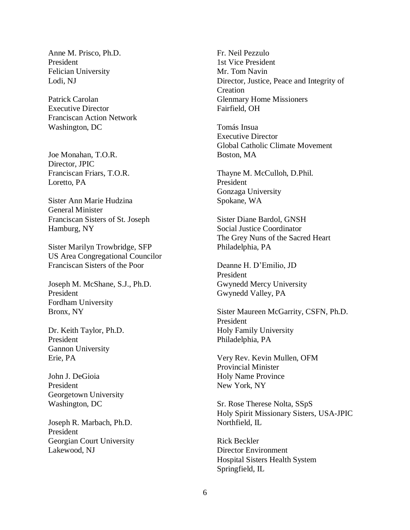Anne M. Prisco, Ph.D. President Felician University Lodi, NJ

Patrick Carolan Executive Director Franciscan Action Network Washington, DC

Joe Monahan, T.O.R. Director, JPIC Franciscan Friars, T.O.R. Loretto, PA

Sister Ann Marie Hudzina General Minister Franciscan Sisters of St. Joseph Hamburg, NY

Sister Marilyn Trowbridge, SFP US Area Congregational Councilor Franciscan Sisters of the Poor

Joseph M. McShane, S.J., Ph.D. President Fordham University Bronx, NY

Dr. Keith Taylor, Ph.D. President Gannon University Erie, PA

John J. DeGioia President Georgetown University Washington, DC

Joseph R. Marbach, Ph.D. President Georgian Court University Lakewood, NJ

Fr. Neil Pezzulo 1st Vice President Mr. Tom Navin Director, Justice, Peace and Integrity of Creation Glenmary Home Missioners Fairfield, OH

Tomás Insua Executive Director Global Catholic Climate Movement Boston, MA

Thayne M. McCulloh, D.Phil. President Gonzaga University Spokane, WA

Sister Diane Bardol, GNSH Social Justice Coordinator The Grey Nuns of the Sacred Heart Philadelphia, PA

Deanne H. D'Emilio, JD President Gwynedd Mercy University Gwynedd Valley, PA

Sister Maureen McGarrity, CSFN, Ph.D. President Holy Family University Philadelphia, PA

Very Rev. Kevin Mullen, OFM Provincial Minister Holy Name Province New York, NY

Sr. Rose Therese Nolta, SSpS Holy Spirit Missionary Sisters, USA-JPIC Northfield, IL

Rick Beckler Director Environment Hospital Sisters Health System Springfield, IL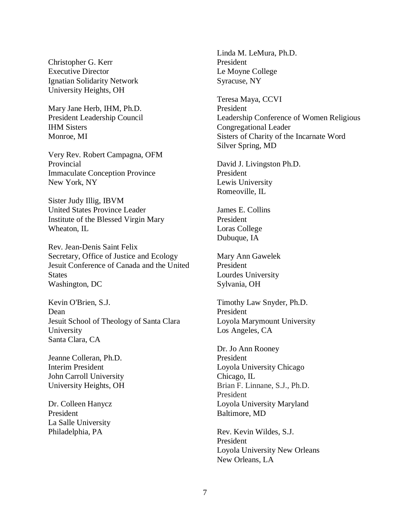Christopher G. Kerr Executive Director Ignatian Solidarity Network University Heights, OH

Mary Jane Herb, IHM, Ph.D. President Leadership Council IHM Sisters Monroe, MI

Very Rev. Robert Campagna, OFM Provincial Immaculate Conception Province New York, NY

Sister Judy Illig, IBVM United States Province Leader Institute of the Blessed Virgin Mary Wheaton, IL

Rev. Jean-Denis Saint Felix Secretary, Office of Justice and Ecology Jesuit Conference of Canada and the United **States** Washington, DC

Kevin O'Brien, S.J. Dean Jesuit School of Theology of Santa Clara University Santa Clara, CA

Jeanne Colleran, Ph.D. Interim President John Carroll University University Heights, OH

Dr. Colleen Hanycz President La Salle University Philadelphia, PA

Linda M. LeMura, Ph.D. President Le Moyne College Syracuse, NY

Teresa Maya, CCVI President Leadership Conference of Women Religious Congregational Leader Sisters of Charity of the Incarnate Word Silver Spring, MD

David J. Livingston Ph.D. President Lewis University Romeoville, IL

James E. Collins President Loras College Dubuque, IA

Mary Ann Gawelek President Lourdes University Sylvania, OH

Timothy Law Snyder, Ph.D. President Loyola Marymount University Los Angeles, CA

Dr. Jo Ann Rooney President Loyola University Chicago Chicago, IL Brian F. Linnane, S.J., Ph.D. President Loyola University Maryland Baltimore, MD

Rev. Kevin Wildes, S.J. President Loyola University New Orleans New Orleans, LA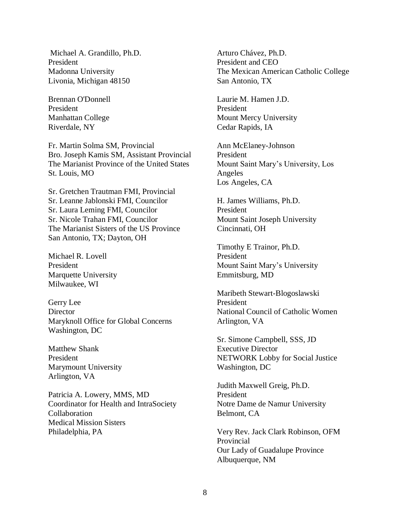Michael A. Grandillo, Ph.D. President Madonna University Livonia, Michigan 48150

Brennan O'Donnell President Manhattan College Riverdale, NY

Fr. Martin Solma SM, Provincial Bro. Joseph Kamis SM, Assistant Provincial The Marianist Province of the United States St. Louis, MO

Sr. Gretchen Trautman FMI, Provincial Sr. Leanne Jablonski FMI, Councilor Sr. Laura Leming FMI, Councilor Sr. Nicole Trahan FMI, Councilor The Marianist Sisters of the US Province San Antonio, TX; Dayton, OH

Michael R. Lovell President Marquette University Milwaukee, WI

Gerry Lee **Director** Maryknoll Office for Global Concerns Washington, DC

Matthew Shank President Marymount University Arlington, VA

Patricia A. Lowery, MMS, MD Coordinator for Health and IntraSociety Collaboration Medical Mission Sisters Philadelphia, PA

Arturo Chávez, Ph.D. President and CEO The Mexican American Catholic College San Antonio, TX

Laurie M. Hamen J.D. President Mount Mercy University Cedar Rapids, IA

Ann McElaney-Johnson President Mount Saint Mary's University, Los Angeles Los Angeles, CA

H. James Williams, Ph.D. President Mount Saint Joseph University Cincinnati, OH

Timothy E Trainor, Ph.D. President Mount Saint Mary's University Emmitsburg, MD

Maribeth Stewart-Blogoslawski President National Council of Catholic Women Arlington, VA

Sr. Simone Campbell, SSS, JD Executive Director NETWORK Lobby for Social Justice Washington, DC

Judith Maxwell Greig, Ph.D. President Notre Dame de Namur University Belmont, CA

Very Rev. Jack Clark Robinson, OFM Provincial Our Lady of Guadalupe Province Albuquerque, NM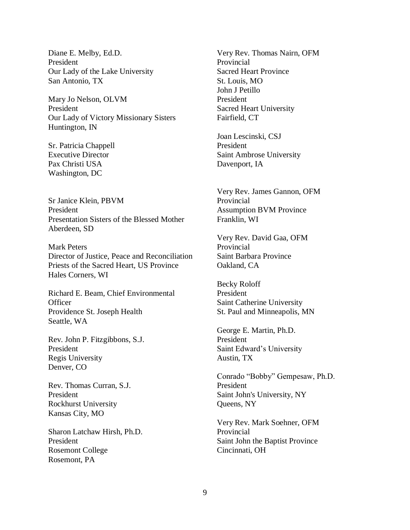Diane E. Melby, Ed.D. President Our Lady of the Lake University San Antonio, TX

Mary Jo Nelson, OLVM President Our Lady of Victory Missionary Sisters Huntington, IN

Sr. Patricia Chappell Executive Director Pax Christi USA Washington, DC

Sr Janice Klein, PBVM President Presentation Sisters of the Blessed Mother Aberdeen, SD

Mark Peters Director of Justice, Peace and Reconciliation Priests of the Sacred Heart, US Province Hales Corners, WI

Richard E. Beam, Chief Environmental **Officer** Providence St. Joseph Health Seattle, WA

Rev. John P. Fitzgibbons, S.J. President Regis University Denver, CO

Rev. Thomas Curran, S.J. President Rockhurst University Kansas City, MO

Sharon Latchaw Hirsh, Ph.D. President Rosemont College Rosemont, PA

Very Rev. Thomas Nairn, OFM Provincial Sacred Heart Province St. Louis, MO John J Petillo President Sacred Heart University Fairfield, CT

Joan Lescinski, CSJ President Saint Ambrose University Davenport, IA

Very Rev. James Gannon, OFM Provincial Assumption BVM Province Franklin, WI

Very Rev. David Gaa, OFM Provincial Saint Barbara Province Oakland, CA

Becky Roloff President Saint Catherine University St. Paul and Minneapolis, MN

George E. Martin, Ph.D. President Saint Edward's University Austin, TX

Conrado "Bobby" Gempesaw, Ph.D. President Saint John's University, NY Queens, NY

Very Rev. Mark Soehner, OFM Provincial Saint John the Baptist Province Cincinnati, OH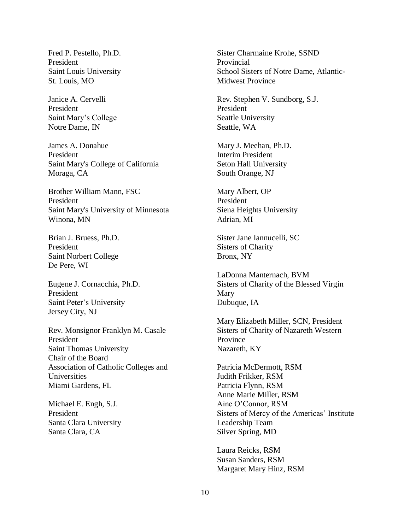Fred P. Pestello, Ph.D. President Saint Louis University St. Louis, MO

Janice A. Cervelli President Saint Mary's College Notre Dame, IN

James A. Donahue President Saint Mary's College of California Moraga, CA

Brother William Mann, FSC President Saint Mary's University of Minnesota Winona, MN

Brian J. Bruess, Ph.D. President Saint Norbert College De Pere, WI

Eugene J. Cornacchia, Ph.D. President Saint Peter's University Jersey City, NJ

Rev. Monsignor Franklyn M. Casale President Saint Thomas University Chair of the Board Association of Catholic Colleges and Universities Miami Gardens, FL

Michael E. Engh, S.J. President Santa Clara University Santa Clara, CA

Sister Charmaine Krohe, SSND Provincial School Sisters of Notre Dame, Atlantic-Midwest Province

Rev. Stephen V. Sundborg, S.J. President Seattle University Seattle, WA

Mary J. Meehan, Ph.D. Interim President Seton Hall University South Orange, NJ

Mary Albert, OP President Siena Heights University Adrian, MI

Sister Jane Iannucelli, SC Sisters of Charity Bronx, NY

LaDonna Manternach, BVM Sisters of Charity of the Blessed Virgin Mary Dubuque, IA

Mary Elizabeth Miller, SCN, President Sisters of Charity of Nazareth Western Province Nazareth, KY

Patricia McDermott, RSM Judith Frikker, RSM Patricia Flynn, RSM Anne Marie Miller, RSM Aine O'Connor, RSM Sisters of Mercy of the Americas' Institute Leadership Team Silver Spring, MD

Laura Reicks, RSM Susan Sanders, RSM Margaret Mary Hinz, RSM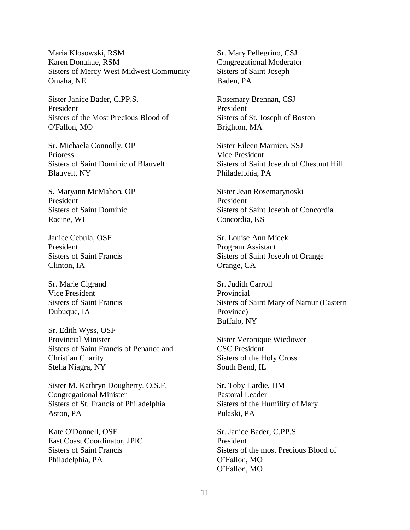Maria Klosowski, RSM Karen Donahue, RSM Sisters of Mercy West Midwest Community Omaha, NE

Sister Janice Bader, C.PP.S. President Sisters of the Most Precious Blood of O'Fallon, MO

Sr. Michaela Connolly, OP Prioress Sisters of Saint Dominic of Blauvelt Blauvelt, NY

S. Maryann McMahon, OP President Sisters of Saint Dominic Racine, WI

Janice Cebula, OSF President Sisters of Saint Francis Clinton, IA

Sr. Marie Cigrand Vice President Sisters of Saint Francis Dubuque, IA

Sr. Edith Wyss, OSF Provincial Minister Sisters of Saint Francis of Penance and Christian Charity Stella Niagra, NY

Sister M. Kathryn Dougherty, O.S.F. Congregational Minister Sisters of St. Francis of Philadelphia Aston, PA

Kate O'Donnell, OSF East Coast Coordinator, JPIC Sisters of Saint Francis Philadelphia, PA

Sr. Mary Pellegrino, CSJ Congregational Moderator Sisters of Saint Joseph Baden, PA

Rosemary Brennan, CSJ President Sisters of St. Joseph of Boston Brighton, MA

Sister Eileen Marnien, SSJ Vice President Sisters of Saint Joseph of Chestnut Hill Philadelphia, PA

Sister Jean Rosemarynoski President Sisters of Saint Joseph of Concordia Concordia, KS

Sr. Louise Ann Micek Program Assistant Sisters of Saint Joseph of Orange Orange, CA

Sr. Judith Carroll Provincial Sisters of Saint Mary of Namur (Eastern Province) Buffalo, NY

Sister Veronique Wiedower CSC President Sisters of the Holy Cross South Bend, IL

Sr. Toby Lardie, HM Pastoral Leader Sisters of the Humility of Mary Pulaski, PA

Sr. Janice Bader, C.PP.S. President Sisters of the most Precious Blood of O'Fallon, MO O'Fallon, MO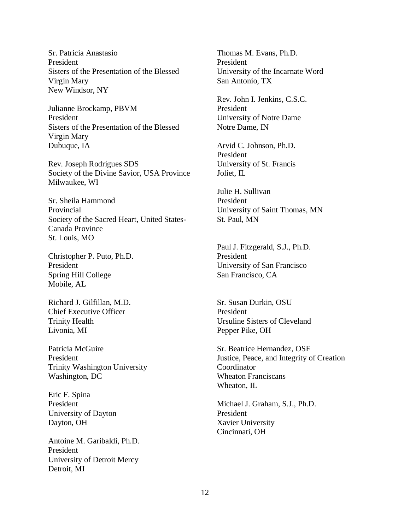Sr. Patricia Anastasio President Sisters of the Presentation of the Blessed Virgin Mary New Windsor, NY

Julianne Brockamp, PBVM President Sisters of the Presentation of the Blessed Virgin Mary Dubuque, IA

Rev. Joseph Rodrigues SDS Society of the Divine Savior, USA Province Milwaukee, WI

Sr. Sheila Hammond Provincial Society of the Sacred Heart, United States-Canada Province St. Louis, MO

Christopher P. Puto, Ph.D. President Spring Hill College Mobile, AL

Richard J. Gilfillan, M.D. Chief Executive Officer Trinity Health Livonia, MI

Patricia McGuire President Trinity Washington University Washington, DC

Eric F. Spina President University of Dayton Dayton, OH

Antoine M. Garibaldi, Ph.D. President University of Detroit Mercy Detroit, MI

Thomas M. Evans, Ph.D. President University of the Incarnate Word San Antonio, TX

Rev. John I. Jenkins, C.S.C. President University of Notre Dame Notre Dame, IN

Arvid C. Johnson, Ph.D. President University of St. Francis Joliet, IL

Julie H. Sullivan President University of Saint Thomas, MN St. Paul, MN

Paul J. Fitzgerald, S.J., Ph.D. President University of San Francisco San Francisco, CA

Sr. Susan Durkin, OSU President Ursuline Sisters of Cleveland Pepper Pike, OH

Sr. Beatrice Hernandez, OSF Justice, Peace, and Integrity of Creation Coordinator Wheaton Franciscans Wheaton, IL

Michael J. Graham, S.J., Ph.D. President Xavier University Cincinnati, OH